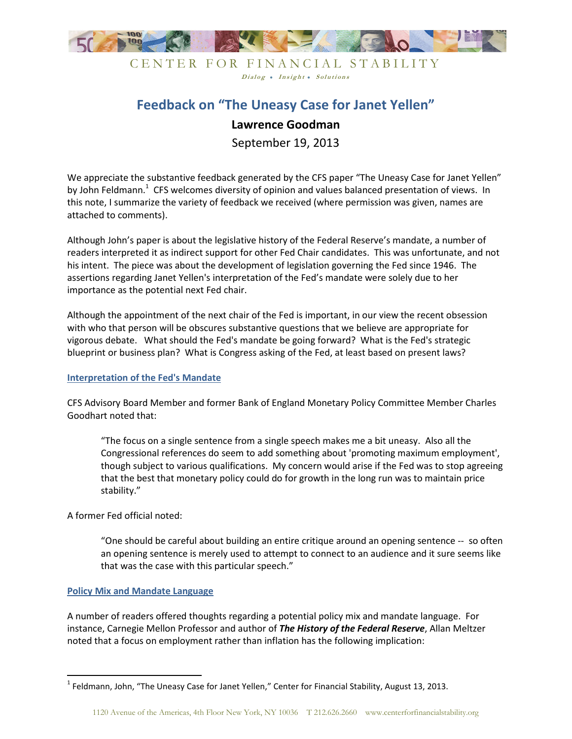

### CENTER FOR FINANCIAL STABILITY Dialog . Insight . Solutions

# **Feedback on "The Uneasy Case for Janet Yellen" Lawrence Goodman**

September 19, 2013

We appreciate the substantive feedback generated by the CFS paper "The Uneasy Case for Janet Yellen" by John Feldmann.<sup>1</sup> CFS welcomes diversity of opinion and values balanced presentation of views. In this note, I summarize the variety of feedback we received (where permission was given, names are attached to comments).

Although John's paper is about the legislative history of the Federal Reserve's mandate, a number of readers interpreted it as indirect support for other Fed Chair candidates. This was unfortunate, and not his intent. The piece was about the development of legislation governing the Fed since 1946. The assertions regarding Janet Yellen's interpretation of the Fed's mandate were solely due to her importance as the potential next Fed chair.

Although the appointment of the next chair of the Fed is important, in our view the recent obsession with who that person will be obscures substantive questions that we believe are appropriate for vigorous debate. What should the Fed's mandate be going forward? What is the Fed's strategic blueprint or business plan? What is Congress asking of the Fed, at least based on present laws?

#### **Interpretation of the Fed's Mandate**

CFS Advisory Board Member and former Bank of England Monetary Policy Committee Member Charles Goodhart noted that:

"The focus on a single sentence from a single speech makes me a bit uneasy. Also all the Congressional references do seem to add something about 'promoting maximum employment', though subject to various qualifications. My concern would arise if the Fed was to stop agreeing that the best that monetary policy could do for growth in the long run was to maintain price stability."

A former Fed official noted:

<u>.</u>

"One should be careful about building an entire critique around an opening sentence -- so often an opening sentence is merely used to attempt to connect to an audience and it sure seems like that was the case with this particular speech."

#### **Policy Mix and Mandate Language**

A number of readers offered thoughts regarding a potential policy mix and mandate language. For instance, Carnegie Mellon Professor and author of *The History of the Federal Reserve*, Allan Meltzer noted that a focus on employment rather than inflation has the following implication:

 $<sup>1</sup>$  Feldmann, John, "The Uneasy Case for Janet Yellen," Center for Financial Stability, August 13, 2013.</sup>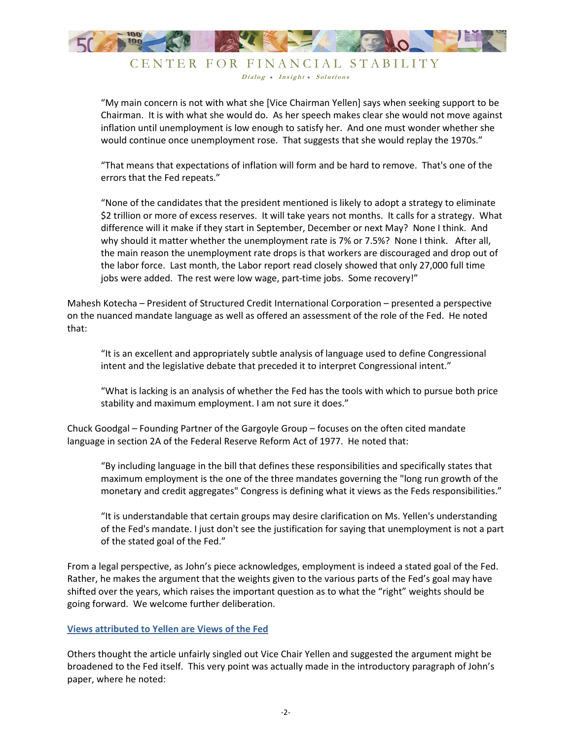

CENTER FOR FINANCIAL STABILITY Dialog . Insight . Solutions

"My main concern is not with what she [Vice Chairman Yellen] says when seeking support to be Chairman. It is with what she would do. As her speech makes clear she would not move against inflation until unemployment is low enough to satisfy her. And one must wonder whether she would continue once unemployment rose. That suggests that she would replay the 1970s."

"That means that expectations of inflation will form and be hard to remove. That's one of the errors that the Fed repeats."

"None of the candidates that the president mentioned is likely to adopt a strategy to eliminate \$2 trillion or more of excess reserves. It will take years not months. It calls for a strategy. What difference will it make if they start in September, December or next May? None I think. And why should it matter whether the unemployment rate is 7% or 7.5%? None I think. After all, the main reason the unemployment rate drops is that workers are discouraged and drop out of the labor force. Last month, the Labor report read closely showed that only 27,000 full time jobs were added. The rest were low wage, part-time jobs. Some recovery!"

Mahesh Kotecha – President of Structured Credit International Corporation – presented a perspective on the nuanced mandate language as well as offered an assessment of the role of the Fed. He noted that:

"It is an excellent and appropriately subtle analysis of language used to define Congressional intent and the legislative debate that preceded it to interpret Congressional intent."

"What is lacking is an analysis of whether the Fed has the tools with which to pursue both price stability and maximum employment. I am not sure it does."

Chuck Goodgal – Founding Partner of the Gargoyle Group – focuses on the often cited mandate language in section 2A of the Federal Reserve Reform Act of 1977. He noted that:

"By including language in the bill that defines these responsibilities and specifically states that maximum employment is the one of the three mandates governing the "long run growth of the monetary and credit aggregates" Congress is defining what it views as the Feds responsibilities."

"It is understandable that certain groups may desire clarification on Ms. Yellen's understanding of the Fed's mandate. I just don't see the justification for saying that unemployment is not a part of the stated goal of the Fed."

From a legal perspective, as John's piece acknowledges, employment is indeed a stated goal of the Fed. Rather, he makes the argument that the weights given to the various parts of the Fed's goal may have shifted over the years, which raises the important question as to what the "right" weights should be going forward. We welcome further deliberation.

#### **Views attributed to Yellen are Views of the Fed**

Others thought the article unfairly singled out Vice Chair Yellen and suggested the argument might be broadened to the Fed itself. This very point was actually made in the introductory paragraph of John's paper, where he noted: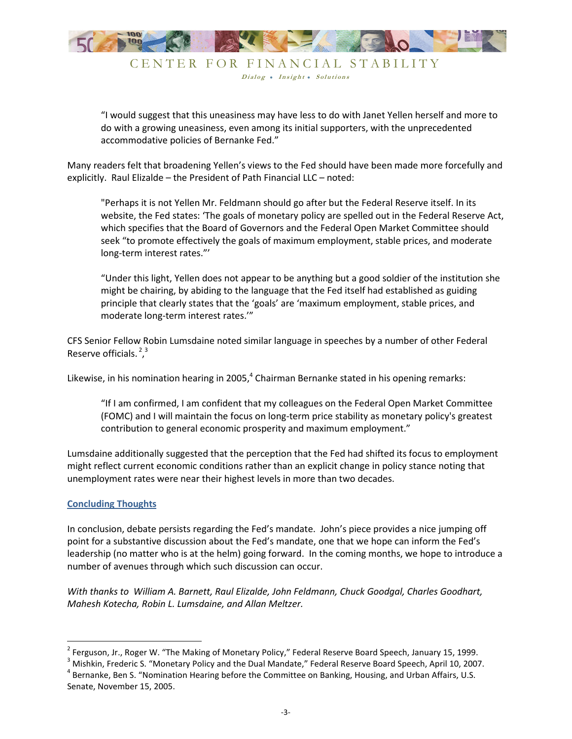

Dialog . Insight . Solutions

"I would suggest that this uneasiness may have less to do with Janet Yellen herself and more to do with a growing uneasiness, even among its initial supporters, with the unprecedented accommodative policies of Bernanke Fed."

Many readers felt that broadening Yellen's views to the Fed should have been made more forcefully and explicitly. Raul Elizalde – the President of Path Financial LLC – noted:

"Perhaps it is not Yellen Mr. Feldmann should go after but the Federal Reserve itself. In its website, the Fed states: 'The goals of monetary policy are spelled out in the Federal Reserve Act, which specifies that the Board of Governors and the Federal Open Market Committee should seek "to promote effectively the goals of maximum employment, stable prices, and moderate long-term interest rates."'

"Under this light, Yellen does not appear to be anything but a good soldier of the institution she might be chairing, by abiding to the language that the Fed itself had established as guiding principle that clearly states that the 'goals' are 'maximum employment, stable prices, and moderate long-term interest rates.'"

CFS Senior Fellow Robin Lumsdaine noted similar language in speeches by a number of other Federal Reserve officials.  $2^3$ 

Likewise, in his nomination hearing in 2005, $4$  Chairman Bernanke stated in his opening remarks:

"If I am confirmed, I am confident that my colleagues on the Federal Open Market Committee (FOMC) and I will maintain the focus on long-term price stability as monetary policy's greatest contribution to general economic prosperity and maximum employment."

Lumsdaine additionally suggested that the perception that the Fed had shifted its focus to employment might reflect current economic conditions rather than an explicit change in policy stance noting that unemployment rates were near their highest levels in more than two decades.

#### **Concluding Thoughts**

In conclusion, debate persists regarding the Fed's mandate. John's piece provides a nice jumping off point for a substantive discussion about the Fed's mandate, one that we hope can inform the Fed's leadership (no matter who is at the helm) going forward. In the coming months, we hope to introduce a number of avenues through which such discussion can occur.

*With thanks to William A. Barnett, Raul Elizalde, John Feldmann, Chuck Goodgal, Charles Goodhart, Mahesh Kotecha, Robin L. Lumsdaine, and Allan Meltzer.*

l

<sup>&</sup>lt;sup>2</sup> Ferguson, Jr., Roger W. "The Making of Monetary Policy," Federal Reserve Board Speech, January 15, 1999.

<sup>&</sup>lt;sup>3</sup> Mishkin, Frederic S. "Monetary Policy and the Dual Mandate," Federal Reserve Board Speech, April 10, 2007. <sup>4</sup> Bernanke, Ben S. "Nomination Hearing before the Committee on Banking, Housing, and Urban Affairs, U.S.

Senate, November 15, 2005.